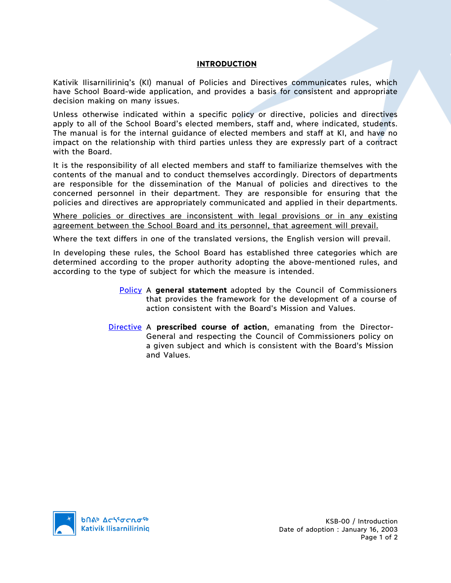## **INTRODUCTION**

Kativik Ilisarniliriniq's (KI) manual of Policies and Directives communicates rules, which have School Board-wide application, and provides a basis for consistent and appropriate decision making on many issues.

Unless otherwise indicated within a specific policy or directive, policies and directives apply to all of the School Board's elected members, staff and, where indicated, students. The manual is for the internal guidance of elected members and staff at KI, and have no impact on the relationship with third parties unless they are expressly part of a contract with the Board.

It is the responsibility of all elected members and staff to familiarize themselves with the contents of the manual and to conduct themselves accordingly. Directors of departments are responsible for the dissemination of the Manual of policies and directives to the concerned personnel in their department. They are responsible for ensuring that the policies and directives are appropriately communicated and applied in their departments.

Where policies or directives are inconsistent with legal provisions or in any existing agreement between the School Board and its personnel, that agreement will prevail.

Where the text differs in one of the translated versions, the English version will prevail.

In developing these rules, the School Board has established three categories which are determined according to the proper authority adopting the above-mentioned rules, and according to the type of subject for which the measure is intended.

- Policy A **general statement** adopted by the Council of Commissioners that provides the framework for the development of a course of action consistent with the Board's Mission and Values.
- Directive A **prescribed course of action**, emanating from the Director-General and respecting the Council of Commissioners policy on a given subject and which is consistent with the Board's Mission and Values.



KSB-00 / Introduction Date of adoption : January 16, 2003 Page 1 of 2